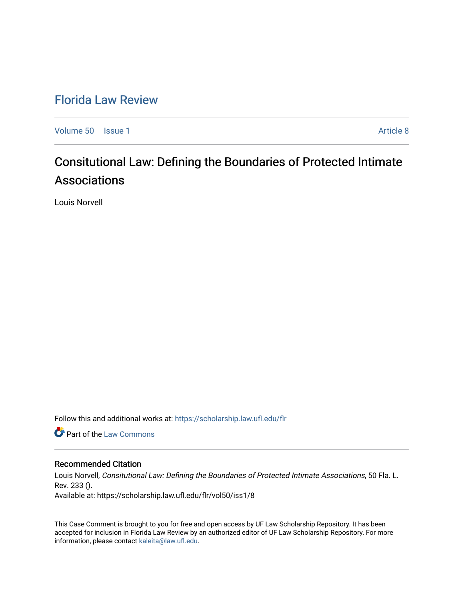## [Florida Law Review](https://scholarship.law.ufl.edu/flr)

[Volume 50](https://scholarship.law.ufl.edu/flr/vol50) | [Issue 1](https://scholarship.law.ufl.edu/flr/vol50/iss1) Article 8

# Consitutional Law: Defining the Boundaries of Protected Intimate Associations

Louis Norvell

Follow this and additional works at: [https://scholarship.law.ufl.edu/flr](https://scholarship.law.ufl.edu/flr?utm_source=scholarship.law.ufl.edu%2Fflr%2Fvol50%2Fiss1%2F8&utm_medium=PDF&utm_campaign=PDFCoverPages)

**Part of the [Law Commons](http://network.bepress.com/hgg/discipline/578?utm_source=scholarship.law.ufl.edu%2Fflr%2Fvol50%2Fiss1%2F8&utm_medium=PDF&utm_campaign=PDFCoverPages)** 

### Recommended Citation

Louis Norvell, Consitutional Law: Defining the Boundaries of Protected Intimate Associations, 50 Fla. L. Rev. 233 ().

Available at: https://scholarship.law.ufl.edu/flr/vol50/iss1/8

This Case Comment is brought to you for free and open access by UF Law Scholarship Repository. It has been accepted for inclusion in Florida Law Review by an authorized editor of UF Law Scholarship Repository. For more information, please contact [kaleita@law.ufl.edu.](mailto:kaleita@law.ufl.edu)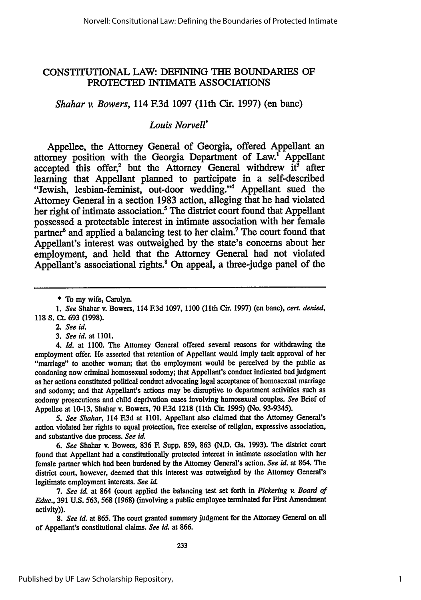## CONSTITUTIONAL LAW: DEFINING THE BOUNDARIES OF PROTECTED INTIMATE ASSOCIATIONS

*Shahar v. Bowers,* 114 F.3d 1097 (11th Cir. 1997) (en banc)

## *Louis Norvell\**

Appellee, the Attorney General of Georgia, offered Appellant an attorney position with the Georgia Department of Law.' Appellant accepted this offer,<sup>2</sup> but the Attorney General withdrew  $it^3$  after learning that Appellant planned to participate in a self-described "Jewish, lesbian-feminist, out-door wedding." Appellant sued the Attorney General in a section **1983** action, alleging that he had violated her right of intimate association.<sup>5</sup> The district court found that Appellant possessed a protectable interest in intimate association with her female partner<sup>6</sup> and applied a balancing test to her claim.<sup>7</sup> The court found that Appellant's interest was outweighed **by** the state's concerns about her employment, and held that the Attorney General had not violated Appellant's associational rights.<sup>8</sup> On appeal, a three-judge panel of the

*2. See id.*

*3. See id.* at **1101.**

4. *Id.* at **1100.** The Attorney General offered several reasons for withdrawing the employment offer. He asserted that retention of Appellant would imply tacit approval of her "marriage" to another woman; that the employment would be perceived **by** the public as condoning now criminal homosexual sodomy; that Appellant's conduct indicated bad judgment as her actions constituted political conduct advocating legal acceptance of homosexual marriage and sodomy; and that Appellant's actions may be disruptive to department activities such as sodomy prosecutions and child deprivation cases involving homosexual couples. *See* Brief of Appellee at **10-13,** Shahar v. Bowers, **70 F.3d 1218** (11th Cir. **1995)** (No. **93-9345).**

*5. See Shahar,* 114 **.3d** at **1101.** Appellant also claimed that the Attorney General's action violated her rights to equal protection, free exercise of religion, expressive association, and substantive due process. *See* **ia**

*6. See* Shahar v. Bowers, **836 F.** Supp. **859, 863 (N.D.** Ga. **1993).** The district court found that Appellant had a constitutionally protected interest in intimate association with her female partner which had been burdened **by** the Attorney General's action. *See id.* at 864. The district court, however, deemed that this interest was outweighed **by** the Attorney General's legitimate employment interests. *See* **id**

*7. See* **id.** at 864 (court applied the balancing test set forth in *Pickering v. Board of Educ.,* **391 U.S. 563, 568 (1968)** (involving a public employee terminated for First Amendment activity)).

*8. See id.* at **865.** The court granted summary judgment for the Attorney General on all of Appellant's constitutional claims. *See id,* **at 866.**

**<sup>\*</sup>** To my wife, Carolyn.

*<sup>1.</sup> See* Shahar v. Bowers, 114 **F.3d 1097, 1100** (11th Cir. **1997)** (en banc), **cert.** *denied,* **118 S. Ct. 693 (1998).**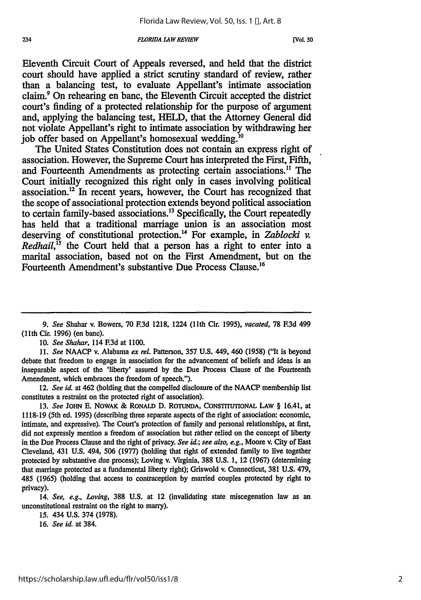Eleventh Circuit Court of Appeals reversed, and held that the district court should have applied a strict scrutiny standard of review, rather than a balancing test, to evaluate Appellant's intimate association claim.' On rehearing en banc, the Eleventh Circuit accepted the district court's finding of a protected relationship for the purpose of argument and, applying the balancing test, **HELD,** that the Attorney General did not violate Appellant's right to intimate association **by** withdrawing her **job** offer based on Appellant's homosexual wedding.'0

The United States Constitution does not contain an express right of association. However, the Supreme Court has interpreted the First, Fifth, and Fourteenth Amendments as protecting certain associations." The Court initially recognized this right only in cases involving political association." In recent years, however, the Court has recognized that the scope of associational protection extends beyond political association to certain family-based associations.<sup>13</sup> Specifically, the Court repeatedly has held that a traditional marriage union is an association most deserving of constitutional protection.<sup>14</sup> For example, in *Zablocki v. Redhail*<sup>15</sup> the Court held that a person has a right to enter into a marital association, based not on the First Amendment, but on the Fourteenth Amendment's substantive Due Process Clause.<sup>16</sup>

*<sup>9.</sup> See* Shahar v. Bowers, 70 **F.3d** 1218, 1224 (11th Cir. 1995), *vacated,* 78 **F3d** 499 (11th Cir. 1996) (en banc).

<sup>10.</sup> *See Shahar,* 114 E3d at 1100.

<sup>11.</sup> *See* NAACP v. Alabama *ex* el. Patterson, 357 U.S. 449, 460 (1958) ("It is beyond debate that freedom to engage in association for the advancement of beliefs and ideas is an inseparable aspect of the 'liberty' assured **by** the Due Process Clause of the Fourteenth Amendment, which embraces the freedom of speech.").

*<sup>12.</sup> See id.* at 462 (holding that the compelled disclosure of the NAACP membership list constitutes a restraint on the protected right of association).

<sup>13.</sup> *See* JOHN E. NOWAK & RONALD D. ROTUNDA, CONSTTUTOONAL LAW § 16.41, at 1118-19 (5th ed. 1995) (describing three separate aspects of the right of association: economic, intimate, and expressive). The Court's protection of family and personal relationships, at first, did not expressly mention a freedom of association but rather relied on the concept of liberty in the Due Process Clause and the right of privacy. *See id.; see also, e.g.,* Moore v. City of East Cleveland, 431 U.S. 494, 506 (1977) (holding that right of extended family to live together protected **by** substantive due process); Loving v. Virginia, 388 **U.S. 1,** 12 (1967) (determining that marriage protected as a fundamental liberty right); Griswold v. Connecticut, 381 U.S. 479, 485 (1965) (holding that access to contraception **by** married couples protected by right to privacy).

<sup>14.</sup> *See, e.g., Loving,* 388 U.S. at 12 (invalidating state miscegenation law as an unconstitutional restraint **on** the right to marry).

<sup>15. 434</sup> U.S. 374 (1978).

<sup>16.</sup> *See id.* at 384.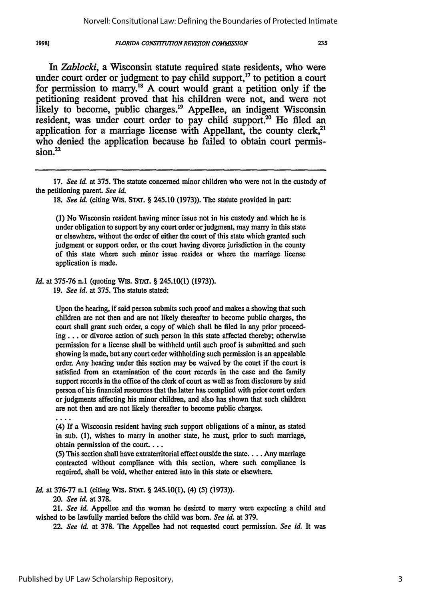#### 1998]

#### *FLORIDA CONSTTUTION REVISION COMMISSION*

*In Zablocki,* a Wisconsin statute required state residents, who were under court order or judgment to pay child support, $^{17}$  to petition a court for permission to marry."8 A court would grant a petition only if the petitioning resident proved that his children were not, and were not likely to become, public charges.<sup>19</sup> Appellee, an indigent Wisconsin resident, was under court order to pay child support.<sup>20</sup> He filed an application for a marriage license with Appellant, the county clerk,<sup>21</sup> who denied the application because he failed to obtain court permission.<sup>22</sup>

(1) No Wisconsin resident having minor issue not in his custody and which he is under obligation to support by any court order or judgment, may marry in this state or elsewhere, without the order of either the court of this state which granted such judgment or support order, or the court having divorce jurisdiction in the county of this state where such minor issue resides or where the marriage license application is made.

*Id.* at 375-76 n.1 (quoting Wis. **STAr.** § 245.10(1) (1973)).

19. *See id.* at 375. The statute stated:

Upon the hearing, if said person submits such proof and makes a showing that such children are not then and are not likely thereafter to become public charges, the court shall grant such order, a copy of which shall be filed in any prior proceeding.., or divorce action of such person in this state affected thereby; otherwise permission for a license shall be withheld until such proof is submitted and such showing is made, but any court order withholding such permission is an appealable order. Any hearing under this section may be waived by the court if the court is satisfied from an examination of the court records in the case and the family support records in the office of the clerk of court as well as from disclosure by said person of his financial resources that the latter has complied with prior court orders or judgments affecting his minor children, and also has shown that such children are not then and are not likely thereafter to become public charges.

(4) If a Wisconsin resident having such support obligations of a minor, as stated in sub. (1), wishes to marry in another state, he must, prior to such marriage, obtain permission of the court....

(5) This section shall have extraterritorial effect outside the state.... Any marriage contracted without compliance with this section, where such compliance is required, shall be void, whether entered into in this state or elsewhere.

*Id.* at 376-77 n.1 (citing Wis. **STAT.** § 245.10(1), (4) (5) (1973)).

20. *See id.* at 378.

21. *See id.* Appellee and the woman he desired to marry were expecting a child and wished to be lawfully married before the child was born. *See id.* at 379.

22. *See id.* at 378. The Appellee had not requested court permission. *See id.* It was

**<sup>17.</sup>** *See id* at **375.** The statute concerned minor children who were not in the custody of the petitioning parent. *See id*

<sup>18.</sup> *See id.* (citing Wis. **STAT.** § 245.10 (1973)). The statute provided in part: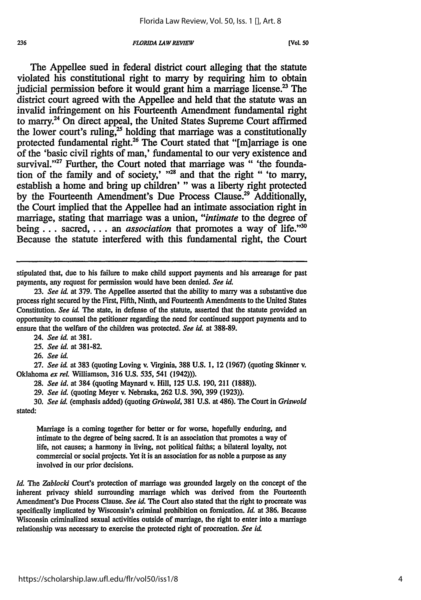#### *FLORIDA LAW REVIEW 236* **[Vol. so**

The Appellee sued in federal district court alleging that the statute violated his constitutional right to marry **by** requiring him to obtain judicial permission before it would grant him a marriage license.<sup>23</sup> The district court agreed with the Appellee and held that the statute was an invalid infringement on his Fourteenth Amendment fundamental right to marry.<sup>24</sup> On direct appeal, the United States Supreme Court affirmed the lower court's ruling, $25$  holding that marriage was a constitutionally protected fundamental right.<sup>26</sup> The Court stated that "[m]arriage is one of the 'basic civil rights of man,' fundamental to our very existence and survival."<sup>27</sup> Further, the Court noted that marriage was " 'the foundation of the family and of society,'  $128$  and that the right " 'to marry, establish a home and bring up children' **"** was a liberty right protected **by** the Fourteenth Amendment's Due Process Clause.29 Additionally, the Court implied that the Appellee had an intimate association right in marriage, stating that marriage was a union, *"intimate* to the degree of being... sacred,... an *association* that promotes a way of life."<sup>30</sup> Because the statute interfered with this fundamental right, the Court

stipulated that, due to his failure to make child support payments and his arrearage for past payments, any request for permission would have been denied. *See* **id.**

**23.** *See id* at **379. The** Appellee asserted that the ability to **marry** was a substantive due process right secured **by** the First, Fifth, Ninth, and Fourteenth Amendments to the United States Constitution. *See id* The state, in defense of the statute, asserted that the statute provided an opportunity to counsel the petitioner regarding the need for continued support payments and to ensure that the welfare of the children was protected. *See id.* at **388-89.**

24. *See id.* at **381.**

*25. See id.* at **381-82.**

**26.** *See id.*

**27.** *See id.* at **383** (quoting Loving v. Virginia, **388 U.S. 1,** 12 **(1967)** (quoting Skinner **v.** Oklahoma *ex reL* Williamson, **316 U.S. 535, 541** (1942))).

**28.** *See id.* at 384 (quoting Maynard v. Hill, **125 U.S. 190,** 211 **(1888)).**

**29.** *See id.* (quoting Meyer v. Nebraska, **262 U.S. 390, 399 (1923)).**

**30.** *See id.* (emphasis added) (quoting *Griswold,* **381 U.S.** at 486). **The** Court in *Griswold* stated:

Marriage is a coming together for better or for worse, hopefully enduring, and intimate to the degree of being sacred. It is an association that promotes a way of life, not causes; a harmony in living, not political faiths; a bilateral loyalty, not commercial or social projects. Yet it is an association for as noble a purpose as any involved in our prior decisions.

*Id. The Zablocki* Court's protection of marriage was grounded largely on the concept of the inherent privacy shield surrounding marriage which was derived from the Fourteenth Amendment's Due Process Clause. *See id*. The Court also stated that the right to procreate was specifically implicated **by** Wisconsin's criminal prohibition **on** fornication. *Id.* **at 386.** Because Wisconsin criminalized sexual activities outside of marriage, the right to enter into a marriage relationship was necessary to exercise the protected right of procreation. *See id*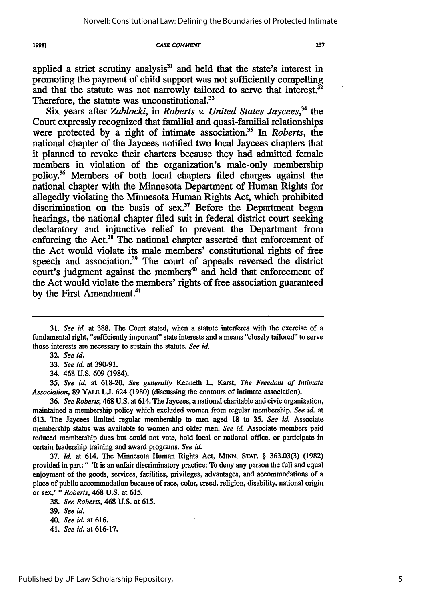19981

#### **CASE COMMENT**

applied a strict scrutiny analysis $31$  and held that the state's interest in promoting the payment of child support was not sufficiently compelling and that the statute was not narrowly tailored to serve that interest.<sup>32</sup> Therefore, the statute was unconstitutional.<sup>33</sup>

Six years after *Zablocki*, in *Roberts v. United States Jaycees*<sup>34</sup> the Court expressly recognized that familial and quasi-familial relationships were protected by a right of intimate association.<sup>35</sup> In *Roberts*, the national chapter of the Jaycees notified two local Jaycees chapters that it planned to revoke their charters because they had admitted female members in violation of the organization's male-only membership policy.36 Members of both local chapters filed charges against the national chapter with the Minnesota Department of Human Rights for allegedly violating the Minnesota Human Rights Act, which prohibited discrimination on the basis of sex.<sup>37</sup> Before the Department began hearings, the national chapter filed suit in federal district court seeking declaratory and injunctive relief to prevent the Department from enforcing the Act.<sup>38</sup> The national chapter asserted that enforcement of the Act would violate its male members' constitutional rights of free speech and association.<sup>39</sup> The court of appeals reversed the district court's judgment against the members<sup>40</sup> and held that enforcement of the Act would violate the members' rights of free association guaranteed by the First Amendment.<sup>41</sup>

37. *Id.* at 614. The Minnesota Human Rights Act, **MINN. STAT.** § 363.03(3) (1982) provided in part:" 'It is an unfair discriminatory practice: To deny any person the full and equal enjoyment of the goods, services, facilities, privileges, advantages, and accommodations of a place of public accommodation because of race, color, creed, religion, disability, national origin or sex.' *" Roberts,* 468 U.S. at 615.

 $\mathbf{f}$ 

**<sup>31.</sup>** *See id.* at 388. The Court stated, when a statute interferes with the exercise of a fundamental right, "sufficiently important" state interests and a means "closely tailored" to serve those interests are necessary to sustain the statute. *See id*

**<sup>32.</sup>** *See id.*

<sup>33.</sup> *See id.* at 390-91.

<sup>34. 468</sup> **U.S.** 609 (1984).

*<sup>35.</sup> See id.* at 618-20. *See generally* Kenneth L. Karst, *The Freedom of Intimate Association,* 89 **YALE L.J.** 624 (1980) (discussing the contours of intimate association).

<sup>36.</sup> *See Roberts,* 468 U.S. at 614. The Jaycees, a national charitable and civic organization, maintained a membership policy which excluded women from regular membership. *See id.* at 613. The Jaycees limited regular membership to men aged 18 to 35. *See U* Associate membership status was available to women and older men. *See id* Associate members paid reduced membership dues but could not vote, hold local or national office, or participate in certain leadership training and award programs. *See id.*

<sup>38.</sup> *See Roberts,* 468 U.S. at 615.

<sup>39.</sup> *See id.*

*<sup>40.</sup> See id.* at **616.**

<sup>41.</sup> *See id.* at 616-17.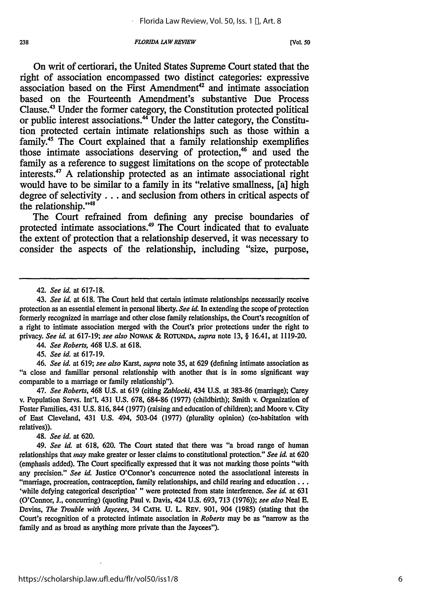On writ of certiorari, the United States Supreme Court stated that the right of association encompassed two distinct categories: expressive association based on the First Amendment<sup>42</sup> and intimate association based on the Fourteenth Amendment's substantive Due Process Clause.43 Under the former category, the Constitution protected political or public interest associations.<sup>44</sup> Under the latter category, the Constitution protected certain intimate relationships such as those within a family.<sup>45</sup> The Court explained that a family relationship exemplifies those intimate associations deserving of protection,<sup>46</sup> and used the family as a reference to suggest limitations on the scope of protectable interests.47 **A** relationship protected as an intimate associational right would have to be similar to a family in its "relative smallness, [a] high degree of selectivity... and seclusion from others in critical aspects of the relationship."4

The Court refrained from defining any precise boundaries of protected intimate associations.<sup>49</sup> The Court indicated that to evaluate the extent of protection that a relationship deserved, it was necessary to consider the aspects of the relationship, including "size, purpose,

*44. See Roberts,* 468 U.S. at 618.

*45. See id.* at 617-19.

*46. See id.* at 619; *see also* Karst, *supra* note **35,** at **629** (defining intimate association as "a close and familiar personal relationship with another that is in some significant way comparable to a marriage or family relationship").

47. *See Roberts,* 468 U.S. at 619 (citing *Zablocki,* 434 U.S. at 383-86 (marriage); Carey v. Population Servs. Int'l, 431 U.S. 678, 684-86 (1977) (childbirth); Smith v. Organization of Foster Families, 431 U.S. 816, 844 (1977) (raising and education of children); and Moore v. City of East Cleveland, 431 U.S. 494, 503-04 (1977) (plurality opinion) (co-habitation with relatives)).

48. *See id.* at 620.

49. *See id.* at 618, 620. The Court stated that there was "a broad range of human relationships that *may* make greater or lesser claims to constitutional protection." *See id.* at **620** (emphasis added). The Court specifically expressed that it was not marking those points "with any precision." *See id.* Justice O'Connor's concurrence noted the associational interests in "marriage, procreation, contraception, family relationships, and child rearing and education **...** 'while defying categorical description' " were protected from state interference. *See id.* at 631 (O'Connor, J., concurring) (quoting Paul v. Davis, 424 **U.S.** 693, 713 (1976)); *see also* Neal E. Devins, *The Trouble with Jaycees,* 34 **CATH.** U. L. REV. 901, 904 (1985) (stating that the Court's recognition of a protected intimate association in *Roberts* may be as "narrow as the family and as broad as anything more private than the Jaycees").

<sup>42.</sup> *See id.* at 617-18.

<sup>43.</sup> *See id.* at 618. The Court held that certain intimate relationships necessarily receive protection as an essential element in personal liberty. *See id.* In extending the scope of protection formerly recognized in marriage and other close family relationships, the Court's recognition of a right to intimate association merged with the Court's prior protections under the right to privacy. *See id* at 617-19; *see also* NOWAK & ROTUNDA, *supra* note 13, § 16.41, at 1119-20.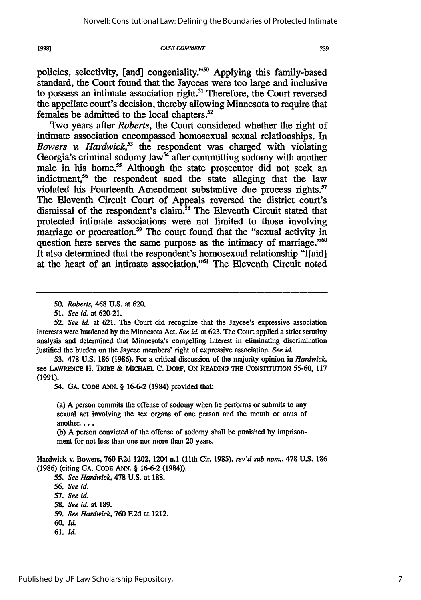19981

#### **CASE COMMENT**

239

policies, selectivity, [and] congeniality."<sup>50</sup> Applying this family-based standard, the Court found that the Jaycees were too large and inclusive to possess an intimate association right.<sup>51</sup> Therefore, the Court reversed the appellate court's decision, thereby allowing Minnesota to require that females be admitted to the local chapters.<sup>52</sup>

Two years after *Roberts,* the Court considered whether the right of intimate association encompassed homosexual sexual relationships. In *Bowers v. Hardwick,53* the respondent was charged with violating Georgia's criminal sodomy law<sup>54</sup> after committing sodomy with another male in his home.<sup>55</sup> Although the state prosecutor did not seek an indictment,<sup>56</sup> the respondent sued the state alleging that the law violated his Fourteenth Amendment substantive due process rights.<sup>57</sup> The Eleventh Circuit Court of Appeals reversed the district court's dismissal of the respondent's claim.<sup>58</sup> The Eleventh Circuit stated that protected intimate associations were not limited to those involving marriage or procreation.<sup>59</sup> The court found that the "sexual activity in question here serves the same purpose as the intimacy of marriage."<sup>60</sup> It also determined that the respondent's homosexual relationship "l[aid] at the heart of an intimate association."61 The Eleventh Circuit noted

53. 478 U.S. 186 (1986). For a critical discussion of the majority opinion in *Hardwick,* see **LAWRENCE** H. **TRIBE** & MICHAEL **C. DORF, ON READING THE CONSTITUTION** 55-60, 117 (1991).

54. **GA. CODE ANN.** § 16-6-2 (1984) provided that:

(a) A person commits the offense of sodomy when he performs or submits to any sexual act involving the sex organs of one person and the mouth or anus of another....

**(b)** A person convicted of the offense of sodomy shall be punished by imprisonment for not less than one nor more than 20 years.

Hardwick v. Bowers, **760** F.2d 1202, 1204 **n.1** (11th Cir. 1985), *revd sub nor.,* 478 U.S. 186 **(1986)** (citing **GA.** CODE **ANN.** § 16-6-2 (1984)).

55. *See Hardwick,* 478 U.S. at 188.

**56.** *See id.*

57. *See id.*

**61.** *Id.*

<sup>50.</sup> *Roberts,* 468 U.S. at 620.

<sup>51.</sup> *See id.* at 620-21.

<sup>52.</sup> *See id.* at 621. The Court did recognize that the Jaycee's expressive association interests were burdened by the Minnesota Act. *See id.* at 623. The Court applied a strict scrutiny analysis and determined that Minnesota's compelling interest in eliminating discrimination justified the burden on the Jaycee members' right of expressive association. *See id.*

<sup>58.</sup> *See id* at 189.

<sup>59.</sup> *See Hardwick,* 760 **F.2d** at 1212.

**<sup>60.</sup> Id.**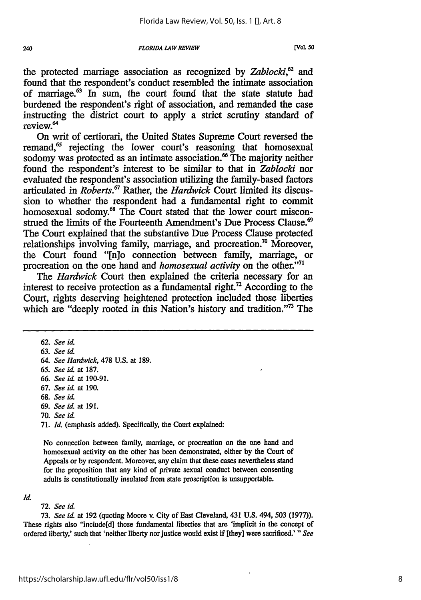the protected marriage association as recognized by *Zablocki,62 and* found that the respondent's conduct resembled the intimate association of marriage.<sup>63</sup> In sum, the court found that the state statute had burdened the respondent's right of association, and remanded the case instructing the district court to apply a strict scrutiny standard of review<sup>64</sup>

On writ of certiorari, the United States Supreme Court reversed the remand,<sup>65</sup> rejecting the lower court's reasoning that homosexual sodomy was protected as an intimate association.<sup>66</sup> The majority neither found the respondent's interest to be similar to that in *Zablocki* nor evaluated the respondent's association utilizing the family-based factors articulated in *Roberts.67* Rather, the *Hardwick* Court limited its discussion to whether the respondent had a fundamental right to commit homosexual sodomy.<sup>68</sup> The Court stated that the lower court misconstrued the limits of the Fourteenth Amendment's Due Process Clause.<sup>69</sup> The Court explained that the substantive Due Process Clause protected relationships involving family, marriage, and procreation." Moreover, the Court found "[n]o connection between family, marriage, or procreation on the one hand and *homosexual activity* on the other."'71

The *Hardwick* Court then explained the criteria necessary for an interest to receive protection as a fundamental right.<sup>72</sup> According to the Court, rights deserving heightened protection included those liberties which are "deeply rooted in this Nation's history and tradition."<sup>73</sup> The

- **69.** *See id.* at 191.
- 70. *See id.*

71. *Id.* (emphasis added). Specifically, the Court explained:

No connection between family, marriage, or procreation on the one hand and homosexual activity on the other has been demonstrated, either by the Court of Appeals or by respondent. Moreover, any claim that these cases nevertheless stand for the proposition that any kind of private sexual conduct between consenting adults is constitutionally insulated from state proscription is unsupportable.

#### *Id.*

#### 72. *See id.*

73. *See id.* at 192 (quoting Moore v. City of East Cleveland, 431 **U.S.** 494, **503** (1977)). These rights also "include[d] those fundamental liberties that are 'implicit in the concept of ordered liberty,' such that 'neither liberty nor justice would exist if [they] were sacrificed.' *"See*

**<sup>62.</sup>** *See id.*

<sup>63.</sup> *See id.*

<sup>64.</sup> *See Hardwick,* 478 U.S. at 189.

**<sup>65.</sup>** *See id.* at 187.

**<sup>66.</sup>** *See id.* at 190-91.

**<sup>67.</sup>** *See id.* at 190.

**<sup>68.</sup>** *See id.*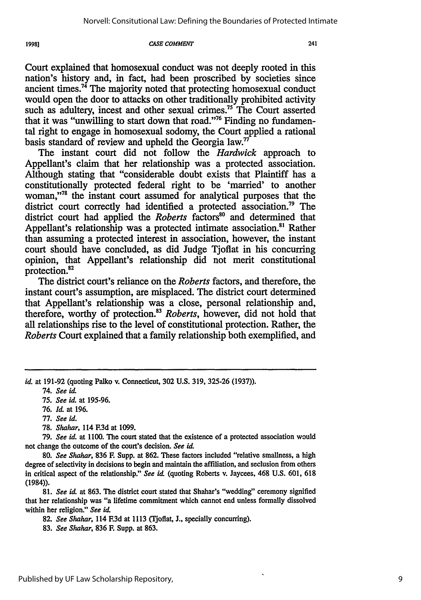**CASE COMMENT**

Court explained that homosexual conduct was not deeply rooted in this nation's history and, in fact, had been proscribed by societies since ancient times.74 The majority noted that protecting homosexual conduct would open the door to attacks on other traditionally prohibited activity such as adultery, incest and other sexual crimes.<sup>75</sup> The Court asserted that it was "unwilling to start down that road."<sup>76</sup> Finding no fundamental right to engage in homosexual sodomy, the Court applied a rational basis standard of review and upheld the Georgia law.<sup>77</sup>

The instant court did not follow the *Hardwick* approach to Appellant's claim that her relationship was a protected association. Although stating that "considerable doubt exists that Plaintiff has a constitutionally protected federal right to be 'married' to another woman,"<sup>78</sup> the instant court assumed for analytical purposes that the district court correctly had identified a protected association.<sup>79</sup> The district court had applied the *Roberts* factors" and determined that Appellant's relationship was a protected intimate association.<sup>81</sup> Rather than assuming a protected interest in association, however, the instant court should have concluded, as did Judge Tjofiat in his concurring opinion, that Appellant's relationship did not merit constitutional protection.<sup>82</sup>

The district court's reliance on the *Roberts* factors, and therefore, the instant court's assumption, are misplaced. The district court determined that Appellant's relationship was a close, personal relationship and, therefore, worthy of protection.<sup>83</sup> Roberts, however, did not hold that all relationships rise to the level of constitutional protection. Rather, the *Roberts* Court explained that a family relationship both exemplified, and

*id.* at 191-92 (quoting Palko v. Connecticut, 302 U.S. 319, 325-26 (1937)).

79. *See id.* at 1100. The court stated that the existence of a protected association would not change the outcome of the court's decision. *See id.*

80. *See Shahar,* 836 **E** Supp. at 862. These factors included "relative smallness, a high degree of selectivity in decisions to begin and maintain the affiliation, and seclusion from others in critical aspect of the relationship." *See id.* (quoting Roberts v. Jaycees, 468 U.S. 601, 618 (1984)).

81. *See id.* at 863. The district court stated that Shahar's "wedding" ceremony signified that her relationship was "a lifetime commitment which cannot end unless formally dissolved within her religion." *See id.*

82. *See Shahar,* 114 F.3d at 1113 (Tjoflat, J., specially concurring).

83. *See Shahar,* 836 F. Supp. at 863.

1998]

<sup>74.</sup> *See hi.*

<sup>75.</sup> *See id.* at 195-96.

<sup>76.</sup> *Id.* at 196.

<sup>77.</sup> *See id.*

<sup>78.</sup> *Shahar,* 114 **.3d** at 1099.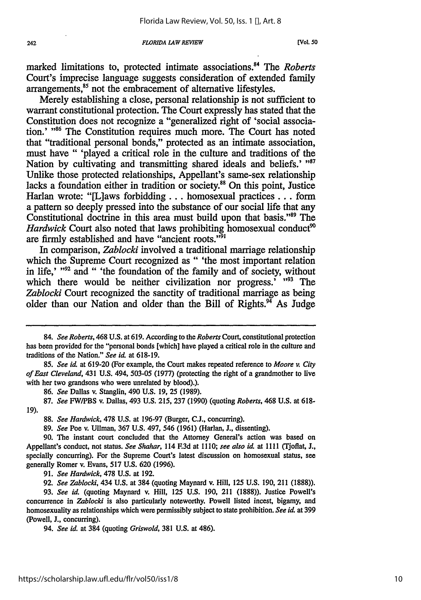marked limitations to, protected intimate associations. 4 The *Roberts* Court's imprecise language suggests consideration of extended family arrangements,<sup>85</sup> not the embracement of alternative lifestyles.

Merely establishing a close, personal relationship is not sufficient to warrant constitutional protection. The Court expressly has stated that the Constitution does not recognize a "generalized right of 'social association.' **86** The Constitution requires much more. The Court has noted that "traditional personal bonds," protected as an intimate association, must have " 'played a critical role in the culture and traditions of the Nation by cultivating and transmitting shared ideals and beliefs.' "87 Unlike those protected relationships, Appellant's same-sex relationship lacks a foundation either in tradition or society.<sup>88</sup> On this point, Justice Harlan wrote: "[L]aws forbidding.., homosexual practices **...** form a pattern so deeply pressed into the substance of our social life that any Constitutional doctrine in this area must build upon that basis."89 The *Hardwick* Court also noted that laws prohibiting homosexual conduct<sup>90</sup> are firmly established and have "ancient roots."<sup>91</sup>

In comparison, *Zablocki* involved a traditional marriage relationship which the Supreme Court recognized as " 'the most important relation in life,' **"92** and " 'the foundation of the family and of society, without which there would be neither civilization nor progress.<sup>'</sup> "<sup>93</sup> The *Zablocki* Court recognized the sanctity of traditional marriage as being older than our Nation and older than the Bill of Rights. $94$  As Judge

86. *See* Dallas v. Stanglin, 490 U.S. 19, **25** (1989).

91. *See Hardwick,* 478 U.S. at 192.

92. *See Zablocki,* 434 U.S. at 384 (quoting Maynard v. Hill, **125** U.S. 190, 211 (1888)).

93. *See id.* (quoting Maynard v. Hill, 125 U.S. 190, 211 (1888)). Justice Powell's concurrence in *Zablocki* is also particularly noteworthy. Powell listed incest, bigamy, and homosexuality as relationships which were permissibly subject to state prohibition. *See id.* at 399 (Powell, J., concurring).

94. *See id.* at 384 (quoting *Griswold,* 381 U.S. at 486).

*<sup>84.</sup> See Roberts,* 468 U.S. at 619. According to the *Roberts* Court, constitutional protection has been provided for the "personal bonds [which] have played a critical role in the culture and traditions of the Nation." *See id,* at 618-19.

<sup>85.</sup> *See id* at 619-20 (For example, the Court makes repeated reference to *Moore v. City of East Cleveland,* 431 U.S. 494, 503-05 (1977) (protecting the right of a grandmother to live with her two grandsons who were unrelated by blood).).

<sup>87.</sup> *See* FW/PBS v. Dallas, 493 U.S. 215, 237 (1990) (quoting *Roberts,* 468 U.S. at 618- 19).

<sup>88.</sup> *See Hardwick,* 478 U.S. at 196-97 (Burger, C.J., concurring).

<sup>89.</sup> *See* Poe v. Ullman, 367 U.S. 497, 546 (1961) (Harlan, J., dissenting).

<sup>90.</sup> The instant court concluded that the Attorney General's action was based on Appellant's conduct, not status. *See Shahar,* 114 **F.3d** at **I110;** *see also id,* at 1111 (Tjoflat, J., specially concurring). For the Supreme Court's latest discussion on homosexual status, see generally Romer v. Evans, 517 U.S. 620 (1996).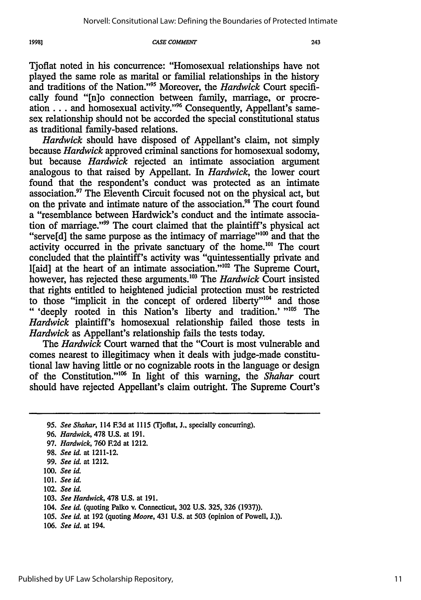#### **CASE COMMENT**

Tjoflat noted in his concurrence: "Homosexual relationships have not played the same role as marital or familial relationships in the history and traditions of the Nation."'95 Moreover, the *Hardwick* Court specifically found "[n]o connection between family, marriage, or procreation . . . and homosexual activity."<sup>96</sup> Consequently, Appellant's samesex relationship should not be accorded the special constitutional status as traditional family-based relations.

*Hardwick* should have disposed of Appellant's claim, not simply because *Hardwick* approved criminal sanctions for homosexual sodomy, but because *Hardwick* rejected an intimate association argument analogous to that raised by Appellant. In *Hardwick,* the lower court found that the respondent's conduct was protected as an intimate association.97 The Eleventh Circuit focused not on the physical act, but on the private and intimate nature of the association.<sup>98</sup> The court found a "resemblance between Hardwick's conduct and the intimate association of marriage."<sup>99</sup> The court claimed that the plaintiff's physical act "serve[d] the same purpose as the intimacy of marriage" $^{100}$  and that the activity occurred in the private sanctuary of the home.<sup>101</sup> The court concluded that the plaintiff's activity was "quintessentially private and l[aid] at the heart of an intimate association."<sup>102</sup> The Supreme Court, however, has rejected these arguments.<sup>103</sup> The *Hardwick* Court insisted that rights entitled to heightened judicial protection must be restricted to those "implicit in the concept of ordered liberty"<sup>104</sup> and those **"** 'deeply rooted in this Nation's liberty and tradition.' *"105* The *Hardwick* plaintiff's homosexual relationship failed those tests in *Hardwick* as Appellant's relationship fails the tests today.

The *Hardwick* Court warned that the "Court is most vulnerable and comes nearest to illegitimacy when it deals with judge-made constitutional law having little or no cognizable roots in the language or design of the Constitution."<sup>106</sup> In light of this warning, the *Shahar* court should have rejected Appellant's claim outright. The Supreme Court's

1998]

<sup>95.</sup> *See Shahar,* 114 **F.3d** at 1115 (Tjoflat, **J.,** specially concurring).

<sup>96.</sup> *Hardwick,* 478 U.S. at 191.

<sup>97.</sup> *Hardwick,* 760 **F.2d** at 1212.

<sup>98.</sup> *See id.* at 1211-12.

<sup>99.</sup> *See id.* at 1212.

**<sup>100.</sup>** *See id.*

<sup>101.</sup> *See id.*

<sup>102.</sup> *See id.*

<sup>103.</sup> *See Hardwick,* **478** U.S. at 191.

<sup>104.</sup> *See id.* (quoting Palko v. Connecticut, 302 U.S. 325, 326 (1937)).

<sup>105.</sup> *See id.* at 192 (quoting *Moore,* 431 U.S. at 503 (opinion of Powell, J.)).

<sup>106.</sup> *See id.* at 194.